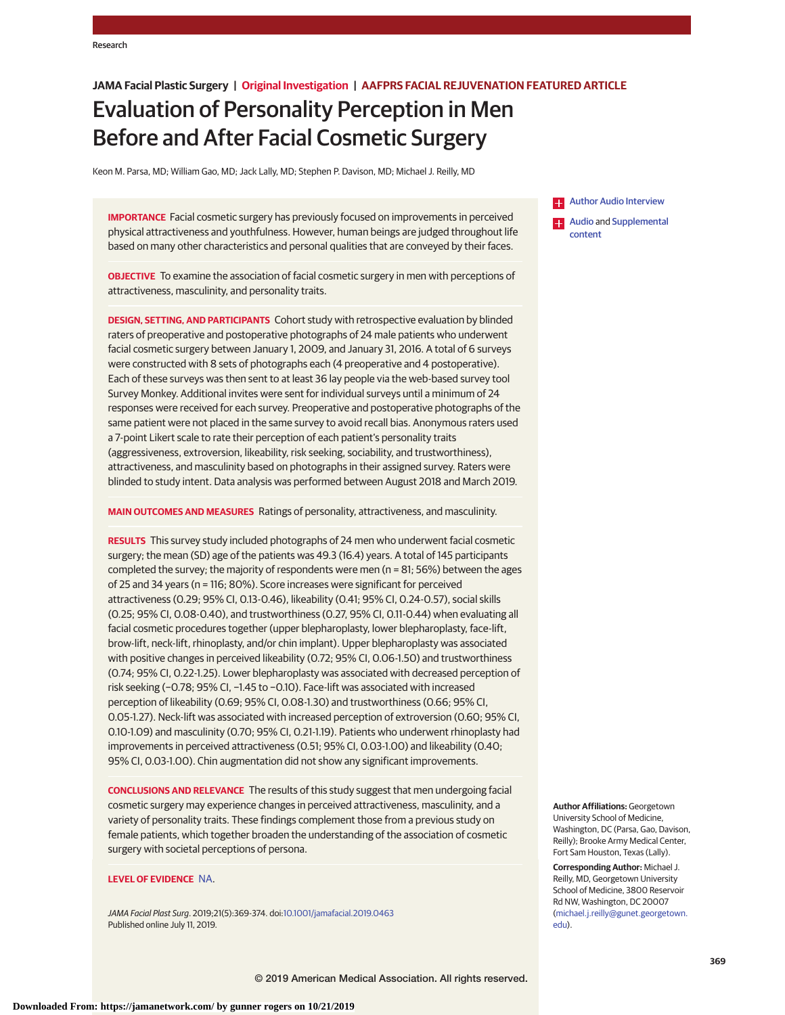## **JAMA Facial Plastic Surgery | Original Investigation | AAFPRS FACIAL REJUVENATION FEATURED ARTICLE**

# Evaluation of Personality Perception in Men Before and After Facial Cosmetic Surgery

Keon M. Parsa, MD; William Gao, MD; Jack Lally, MD; Stephen P. Davison, MD; Michael J. Reilly, MD

**IMPORTANCE** Facial cosmetic surgery has previously focused on improvements in perceived physical attractiveness and youthfulness. However, human beings are judged throughout life based on many other characteristics and personal qualities that are conveyed by their faces.

**OBJECTIVE** To examine the association of facial cosmetic surgery in men with perceptions of attractiveness, masculinity, and personality traits.

**DESIGN, SETTING, AND PARTICIPANTS** Cohort study with retrospective evaluation by blinded raters of preoperative and postoperative photographs of 24 male patients who underwent facial cosmetic surgery between January 1, 2009, and January 31, 2016. A total of 6 surveys were constructed with 8 sets of photographs each (4 preoperative and 4 postoperative). Each of these surveys was then sent to at least 36 lay people via the web-based survey tool Survey Monkey. Additional invites were sent for individual surveys until a minimum of 24 responses were received for each survey. Preoperative and postoperative photographs of the same patient were not placed in the same survey to avoid recall bias. Anonymous raters used a 7-point Likert scale to rate their perception of each patient's personality traits (aggressiveness, extroversion, likeability, risk seeking, sociability, and trustworthiness), attractiveness, and masculinity based on photographs in their assigned survey. Raters were blinded to study intent. Data analysis was performed between August 2018 and March 2019.

**MAIN OUTCOMES AND MEASURES** Ratings of personality, attractiveness, and masculinity.

**RESULTS** This survey study included photographs of 24 men who underwent facial cosmetic surgery; the mean (SD) age of the patients was 49.3 (16.4) years. A total of 145 participants completed the survey; the majority of respondents were men (n = 81; 56%) between the ages of 25 and 34 years (n = 116; 80%). Score increases were significant for perceived attractiveness (0.29; 95% CI, 0.13-0.46), likeability (0.41; 95% CI, 0.24-0.57), social skills (0.25; 95% CI, 0.08-0.40), and trustworthiness (0.27, 95% CI, 0.11-0.44) when evaluating all facial cosmetic procedures together (upper blepharoplasty, lower blepharoplasty, face-lift, brow-lift, neck-lift, rhinoplasty, and/or chin implant). Upper blepharoplasty was associated with positive changes in perceived likeability (0.72; 95% CI, 0.06-1.50) and trustworthiness (0.74; 95% CI, 0.22-1.25). Lower blepharoplasty was associated with decreased perception of risk seeking (−0.78; 95% CI, −1.45 to −0.10). Face-lift was associated with increased perception of likeability (0.69; 95% CI, 0.08-1.30) and trustworthiness (0.66; 95% CI, 0.05-1.27). Neck-lift was associated with increased perception of extroversion (0.60; 95% CI, 0.10-1.09) and masculinity (0.70; 95% CI, 0.21-1.19). Patients who underwent rhinoplasty had improvements in perceived attractiveness (0.51; 95% CI, 0.03-1.00) and likeability (0.40; 95% CI, 0.03-1.00). Chin augmentation did not show any significant improvements.

**CONCLUSIONS AND RELEVANCE** The results of this study suggest that men undergoing facial cosmetic surgery may experience changes in perceived attractiveness, masculinity, and a variety of personality traits. These findings complement those from a previous study on female patients, which together broaden the understanding of the association of cosmetic surgery with societal perceptions of persona.

### **LEVEL OF EVIDENCE** [NA.](https://jamanetwork.com/journals/jamafacialplasticsurgery/pages/instructions-for-authors/?utm_campaign=articlePDF%26utm_medium=articlePDFlink%26utm_source=articlePDF%26utm_content=jamafacial.2019.0463#SecLevelofEvidence/Ethnicity)

JAMA Facial Plast Surg. 2019;21(5):369-374. doi[:10.1001/jamafacial.2019.0463](https://jama.jamanetwork.com/article.aspx?doi=10.1001/jamafacial.2019.0463&utm_campaign=articlePDF%26utm_medium=articlePDFlink%26utm_source=articlePDF%26utm_content=jamafacial.2019.0463) Published online July 11, 2019.

**Example 2** [Author Audio Interview](https://jamanetwork.com/learning/audio-player/10.1001/jamafacial.2019.741/?utm_campaign=articlePDF%26utm_medium=articlePDFlink%26utm_source=articlePDF%26utm_content=jamafacial.2019.0463)

**Example 3** [Audio](https://jama.jamanetwork.com/article.aspx?doi=10.1001/jamafacial.2019.0463&utm_campaign=articlePDF%26utm_medium=articlePDFlink%26utm_source=articlePDF%26utm_content=jamafacial.2019.0463) and [Supplemental](https://jama.jamanetwork.com/article.aspx?doi=10.1001/jamafacial.2019.0463&utm_campaign=articlePDF%26utm_medium=articlePDFlink%26utm_source=articlePDF%26utm_content=jamafacial.2019.0463) [content](https://jama.jamanetwork.com/article.aspx?doi=10.1001/jamafacial.2019.0463&utm_campaign=articlePDF%26utm_medium=articlePDFlink%26utm_source=articlePDF%26utm_content=jamafacial.2019.0463)

**Author Affiliations:** Georgetown University School of Medicine, Washington, DC (Parsa, Gao, Davison, Reilly); Brooke Army Medical Center, Fort Sam Houston, Texas (Lally).

**Corresponding Author:** Michael J. Reilly, MD, Georgetown University School of Medicine, 3800 Reservoir Rd NW, Washington, DC 20007 [\(michael.j.reilly@gunet.georgetown.](mailto:michael.j.reilly@gunet.georgetown.edu) [edu\)](mailto:michael.j.reilly@gunet.georgetown.edu).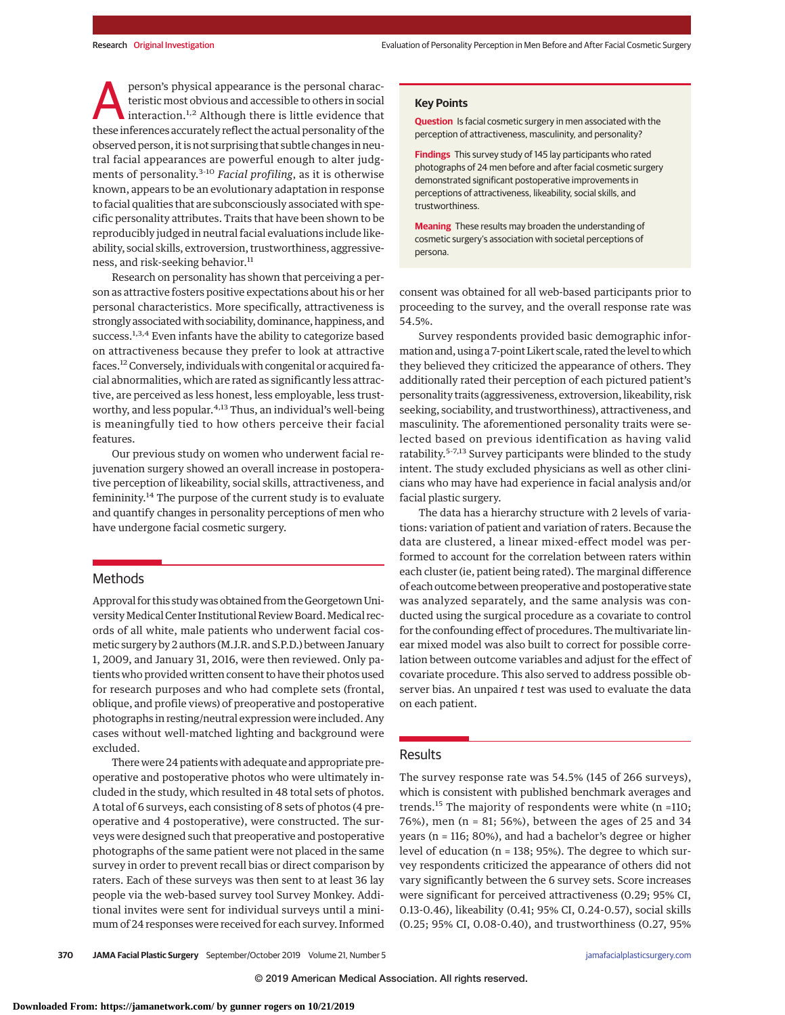**Exercise 12 person's physical appearance is the personal characteristic most obvious and accessible to others in social interaction.<sup>1,2</sup> Although there is little evidence that these inferences accurately reflect the actu** teristic most obvious and accessible to others in social these inferences accurately reflect the actual personality of the observed person, it is not surprising that subtle changes in neutral facial appearances are powerful enough to alter judgments of personality.3-10 *Facial profiling*, as it is otherwise known, appears to be an evolutionary adaptation in response to facial qualities that are subconsciously associated with specific personality attributes. Traits that have been shown to be reproducibly judged in neutral facial evaluations include likeability, social skills, extroversion, trustworthiness, aggressiveness, and risk-seeking behavior.<sup>11</sup>

Research on personality has shown that perceiving a person as attractive fosters positive expectations about his or her personal characteristics. More specifically, attractiveness is strongly associated with sociability, dominance, happiness, and success.<sup>1,3,4</sup> Even infants have the ability to categorize based on attractiveness because they prefer to look at attractive faces.<sup>12</sup> Conversely, individuals with congenital or acquired facial abnormalities, which are rated as significantly less attractive, are perceived as less honest, less employable, less trustworthy, and less popular.<sup>4,13</sup> Thus, an individual's well-being is meaningfully tied to how others perceive their facial features.

Our previous study on women who underwent facial rejuvenation surgery showed an overall increase in postoperative perception of likeability, social skills, attractiveness, and femininity.<sup>14</sup> The purpose of the current study is to evaluate and quantify changes in personality perceptions of men who have undergone facial cosmetic surgery.

# **Methods**

Approval for this studywas obtained from the Georgetown University Medical Center Institutional Review Board. Medical records of all white, male patients who underwent facial cosmetic surgery by 2 authors (M.J.R. and S.P.D.) between January 1, 2009, and January 31, 2016, were then reviewed. Only patients who provided written consent to have their photos used for research purposes and who had complete sets (frontal, oblique, and profile views) of preoperative and postoperative photographs in resting/neutral expression were included. Any cases without well-matched lighting and background were excluded.

There were 24 patients with adequate and appropriate preoperative and postoperative photos who were ultimately included in the study, which resulted in 48 total sets of photos. A total of 6 surveys, each consisting of 8 sets of photos (4 preoperative and 4 postoperative), were constructed. The surveys were designed such that preoperative and postoperative photographs of the same patient were not placed in the same survey in order to prevent recall bias or direct comparison by raters. Each of these surveys was then sent to at least 36 lay people via the web-based survey tool Survey Monkey. Additional invites were sent for individual surveys until a minimum of 24 responses were received for each survey. Informed

### **Key Points**

**Question** Is facial cosmetic surgery in men associated with the perception of attractiveness, masculinity, and personality?

**Findings** This survey study of 145 lay participants who rated photographs of 24 men before and after facial cosmetic surgery demonstrated significant postoperative improvements in perceptions of attractiveness, likeability, social skills, and trustworthiness.

**Meaning** These results may broaden the understanding of cosmetic surgery's association with societal perceptions of persona.

consent was obtained for all web-based participants prior to proceeding to the survey, and the overall response rate was 54.5%.

Survey respondents provided basic demographic information and, using a 7-point Likert scale, rated the level towhich they believed they criticized the appearance of others. They additionally rated their perception of each pictured patient's personality traits (aggressiveness, extroversion, likeability, risk seeking, sociability, and trustworthiness), attractiveness, and masculinity. The aforementioned personality traits were selected based on previous identification as having valid ratability.5-7,13 Survey participants were blinded to the study intent. The study excluded physicians as well as other clinicians who may have had experience in facial analysis and/or facial plastic surgery.

The data has a hierarchy structure with 2 levels of variations: variation of patient and variation of raters. Because the data are clustered, a linear mixed-effect model was performed to account for the correlation between raters within each cluster (ie, patient being rated). The marginal difference of each outcome between preoperative and postoperative state was analyzed separately, and the same analysis was conducted using the surgical procedure as a covariate to control for the confounding effect of procedures. The multivariate linear mixed model was also built to correct for possible correlation between outcome variables and adjust for the effect of covariate procedure. This also served to address possible observer bias. An unpaired *t* test was used to evaluate the data on each patient.

#### Results

The survey response rate was 54.5% (145 of 266 surveys), which is consistent with published benchmark averages and trends.<sup>15</sup> The majority of respondents were white ( $n = 110$ ; 76%), men (n = 81; 56%), between the ages of 25 and 34 years (n = 116; 80%), and had a bachelor's degree or higher level of education (n = 138; 95%). The degree to which survey respondents criticized the appearance of others did not vary significantly between the 6 survey sets. Score increases were significant for perceived attractiveness (0.29; 95% CI, 0.13-0.46), likeability (0.41; 95% CI, 0.24-0.57), social skills (0.25; 95% CI, 0.08-0.40), and trustworthiness (0.27, 95%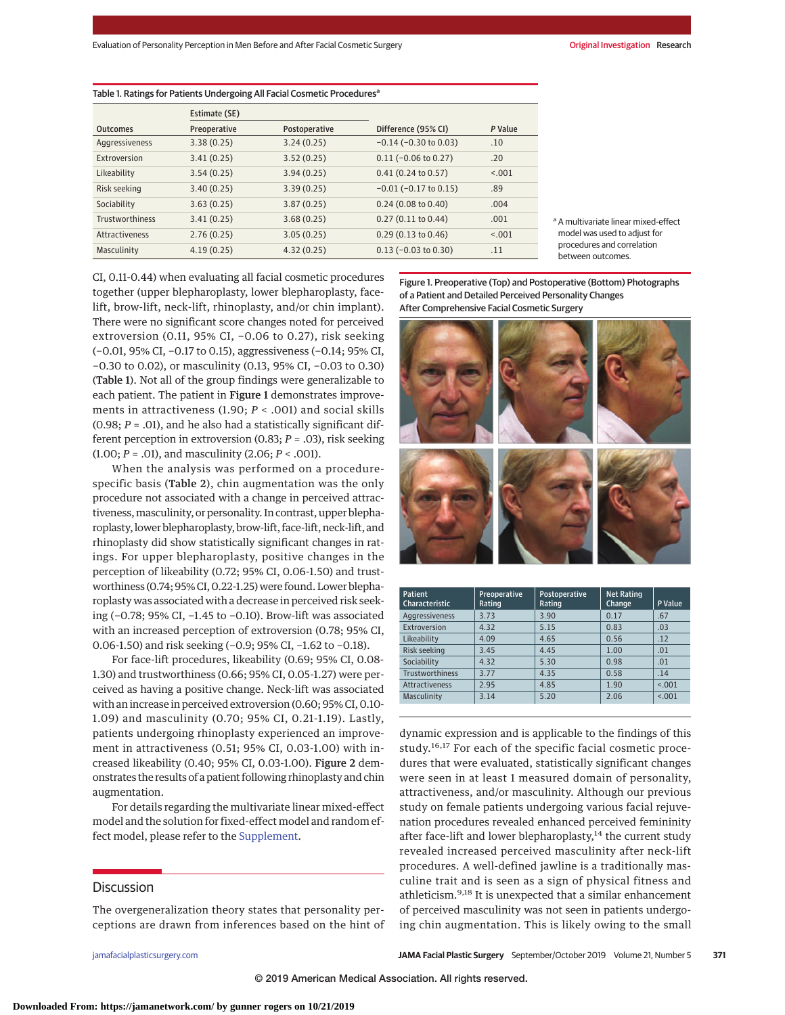| Table 1. Ratings for Patients Undergoing All Facial Cosmetic Procedures <sup>a</sup> |               |               |                               |         |  |  |
|--------------------------------------------------------------------------------------|---------------|---------------|-------------------------------|---------|--|--|
|                                                                                      | Estimate (SE) |               |                               |         |  |  |
| <b>Outcomes</b>                                                                      | Preoperative  | Postoperative | Difference (95% CI)           | P Value |  |  |
| Aggressiveness                                                                       | 3.38(0.25)    | 3.24(0.25)    | $-0.14$ ( $-0.30$ to 0.03)    | .10     |  |  |
| Extroversion                                                                         | 3.41(0.25)    | 3.52(0.25)    | $0.11 (-0.06 to 0.27)$        | .20     |  |  |
| Likeability                                                                          | 3.54(0.25)    | 3.94(0.25)    | 0.41(0.24 to 0.57)            | < 0.01  |  |  |
| Risk seeking                                                                         | 3.40(0.25)    | 3.39(0.25)    | $-0.01$ ( $-0.17$ to 0.15)    | .89     |  |  |
| Sociability                                                                          | 3.63(0.25)    | 3.87(0.25)    | 0.24(0.08 to 0.40)            | .004    |  |  |
| <b>Trustworthiness</b>                                                               | 3.41(0.25)    | 3.68(0.25)    | $0.27(0.11 \text{ to } 0.44)$ | .001    |  |  |
| <b>Attractiveness</b>                                                                | 2.76(0.25)    | 3.05(0.25)    | $0.29(0.13 \text{ to } 0.46)$ | < 0.001 |  |  |
| Masculinity                                                                          | 4.19(0.25)    | 4.32(0.25)    | $0.13$ (-0.03 to 0.30)        | .11     |  |  |

<sup>a</sup> A multivariate linear mixed-effect model was used to adjust for procedures and correlation between outcomes.

CI, 0.11-0.44) when evaluating all facial cosmetic procedures together (upper blepharoplasty, lower blepharoplasty, facelift, brow-lift, neck-lift, rhinoplasty, and/or chin implant). There were no significant score changes noted for perceived extroversion (0.11, 95% CI, −0.06 to 0.27), risk seeking (−0.01, 95% CI, −0.17 to 0.15), aggressiveness (−0.14; 95% CI, −0.30 to 0.02), or masculinity (0.13, 95% CI, −0.03 to 0.30) (Table 1). Not all of the group findings were generalizable to each patient. The patient in Figure 1 demonstrates improvements in attractiveness (1.90; *P* < .001) and social skills  $(0.98; P = .01)$ , and he also had a statistically significant different perception in extroversion (0.83; *P* = .03), risk seeking (1.00; *P* = .01), and masculinity (2.06; *P* < .001).

When the analysis was performed on a procedurespecific basis (Table 2), chin augmentation was the only procedure not associated with a change in perceived attractiveness,masculinity, or personality. In contrast, upper blepharoplasty, lower blepharoplasty, brow-lift, face-lift, neck-lift, and rhinoplasty did show statistically significant changes in ratings. For upper blepharoplasty, positive changes in the perception of likeability (0.72; 95% CI, 0.06-1.50) and trustworthiness (0.74; 95% CI, 0.22-1.25) were found. Lower blepharoplasty was associated with a decrease in perceived risk seeking (−0.78; 95% CI, −1.45 to −0.10). Brow-lift was associated with an increased perception of extroversion (0.78; 95% CI, 0.06-1.50) and risk seeking (−0.9; 95% CI, −1.62 to −0.18).

For face-lift procedures, likeability (0.69; 95% CI, 0.08- 1.30) and trustworthiness (0.66; 95% CI, 0.05-1.27) were perceived as having a positive change. Neck-lift was associated with an increase in perceived extroversion (0.60; 95% CI, 0.10- 1.09) and masculinity (0.70; 95% CI, 0.21-1.19). Lastly, patients undergoing rhinoplasty experienced an improvement in attractiveness (0.51; 95% CI, 0.03-1.00) with increased likeability (0.40; 95% CI, 0.03-1.00). Figure 2 demonstrates the results of a patient following rhinoplasty and chin augmentation.

For details regarding the multivariate linear mixed-effect model and the solution for fixed-effect model and random effect model, please refer to the [Supplement.](https://jama.jamanetwork.com/article.aspx?doi=10.1001/jamafacial.2019.0463&utm_campaign=articlePDF%26utm_medium=articlePDFlink%26utm_source=articlePDF%26utm_content=jamafacial.2019.0463)

## **Discussion**

The overgeneralization theory states that personality perceptions are drawn from inferences based on the hint of

Figure 1. Preoperative (Top) and Postoperative (Bottom) Photographs of a Patient and Detailed Perceived Personality Changes After Comprehensive Facial Cosmetic Surgery



| Patient<br><b>Characteristic</b> | Preoperative<br>Rating | Postoperative<br>Rating | <b>Net Rating</b><br>Change | P Value |
|----------------------------------|------------------------|-------------------------|-----------------------------|---------|
| Aggressiveness                   | 3.73                   | 3.90                    | 0.17                        | .67     |
| Extroversion                     | 4.32                   | 5.15                    | 0.83                        | .03     |
| Likeability                      | 4.09                   | 4.65                    | 0.56                        | .12     |
| Risk seeking                     | 3.45                   | 4.45                    | 1.00                        | .01     |
| Sociability                      | 4.32                   | 5.30                    | 0.98                        | .01     |
| <b>Trustworthiness</b>           | 3.77                   | 4.35                    | 0.58                        | .14     |
| Attractiveness                   | 2.95                   | 4.85                    | 1.90                        | < 0.001 |
| <b>Masculinity</b>               | 3.14                   | 5.20                    | 2.06                        | < 0.01  |

dynamic expression and is applicable to the findings of this study.<sup>16,17</sup> For each of the specific facial cosmetic procedures that were evaluated, statistically significant changes were seen in at least 1 measured domain of personality, attractiveness, and/or masculinity. Although our previous study on female patients undergoing various facial rejuvenation procedures revealed enhanced perceived femininity after face-lift and lower blepharoplasty, $14$  the current study revealed increased perceived masculinity after neck-lift procedures. A well-defined jawline is a traditionally masculine trait and is seen as a sign of physical fitness and athleticism.9,18 It is unexpected that a similar enhancement of perceived masculinity was not seen in patients undergoing chin augmentation. This is likely owing to the small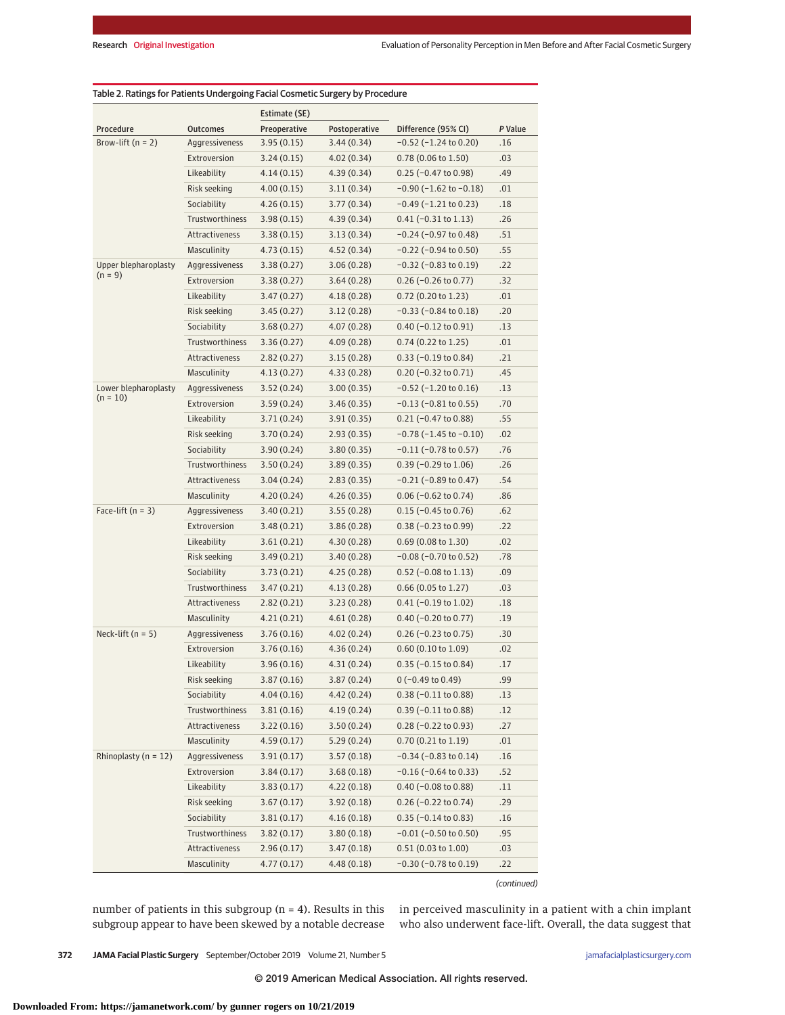|                                   |                       | Estimate (SE) |               |                                |         |
|-----------------------------------|-----------------------|---------------|---------------|--------------------------------|---------|
| Procedure                         | <b>Outcomes</b>       | Preoperative  | Postoperative | Difference (95% CI)            | P Value |
| Brow-lift $(n = 2)$               | Aggressiveness        | 3.95(0.15)    | 3.44(0.34)    | $-0.52$ ( $-1.24$ to 0.20)     | .16     |
|                                   | Extroversion          | 3.24(0.15)    | 4.02(0.34)    | $0.78(0.06 \text{ to } 1.50)$  | .03     |
|                                   | Likeability           | 4.14(0.15)    | 4.39(0.34)    | $0.25$ (-0.47 to 0.98)         | .49     |
|                                   | Risk seeking          | 4.00(0.15)    | 3.11(0.34)    | $-0.90$ ( $-1.62$ to $-0.18$ ) | .01     |
|                                   | Sociability           | 4.26(0.15)    | 3.77(0.34)    | $-0.49$ ( $-1.21$ to 0.23)     | .18     |
|                                   | Trustworthiness       | 3.98(0.15)    | 4.39(0.34)    | $0.41 (-0.31 to 1.13)$         | .26     |
|                                   | <b>Attractiveness</b> | 3.38(0.15)    | 3.13(0.34)    | $-0.24$ ( $-0.97$ to 0.48)     | .51     |
|                                   | Masculinity           | 4.73(0.15)    | 4.52(0.34)    | $-0.22$ ( $-0.94$ to 0.50)     | .55     |
| Upper blepharoplasty<br>$(n = 9)$ | Aggressiveness        | 3.38(0.27)    | 3.06(0.28)    | $-0.32$ ( $-0.83$ to $0.19$ )  | .22     |
|                                   | Extroversion          | 3.38(0.27)    | 3.64(0.28)    | $0.26$ (-0.26 to 0.77)         | .32     |
|                                   | Likeability           | 3.47(0.27)    | 4.18(0.28)    | $0.72$ (0.20 to 1.23)          | .01     |
|                                   | Risk seeking          | 3.45(0.27)    | 3.12(0.28)    | $-0.33$ ( $-0.84$ to $0.18$ )  | .20     |
|                                   | Sociability           | 3.68(0.27)    | 4.07(0.28)    | $0.40$ (-0.12 to 0.91)         | .13     |
|                                   | Trustworthiness       | 3.36(0.27)    | 4.09(0.28)    | $0.74(0.22 \text{ to } 1.25)$  | .01     |
|                                   | <b>Attractiveness</b> | 2.82(0.27)    | 3.15(0.28)    | $0.33 (-0.19 to 0.84)$         | .21     |
|                                   | Masculinity           | 4.13(0.27)    | 4.33(0.28)    | $0.20 (-0.32 to 0.71)$         | .45     |
| Lower blepharoplasty              | Aggressiveness        | 3.52(0.24)    | 3.00(0.35)    | $-0.52$ ( $-1.20$ to $0.16$ )  | .13     |
| $(n = 10)$                        | Extroversion          | 3.59(0.24)    | 3.46(0.35)    | $-0.13$ ( $-0.81$ to 0.55)     | .70     |
|                                   | Likeability           | 3.71(0.24)    | 3.91(0.35)    | $0.21$ (-0.47 to 0.88)         | .55     |
|                                   | Risk seeking          | 3.70(0.24)    | 2.93(0.35)    | $-0.78$ ( $-1.45$ to $-0.10$ ) | .02     |
|                                   | Sociability           | 3.90(0.24)    | 3.80(0.35)    | $-0.11$ ( $-0.78$ to 0.57)     | .76     |
|                                   | Trustworthiness       | 3.50(0.24)    | 3.89(0.35)    | $0.39$ (-0.29 to 1.06)         | .26     |
|                                   | Attractiveness        | 3.04(0.24)    | 2.83(0.35)    | $-0.21$ ( $-0.89$ to 0.47)     | .54     |
|                                   | Masculinity           | 4.20(0.24)    | 4.26(0.35)    | $0.06$ (-0.62 to 0.74)         | .86     |
| Face-lift $(n = 3)$               | Aggressiveness        | 3.40(0.21)    | 3.55(0.28)    | $0.15$ (-0.45 to 0.76)         | .62     |
|                                   | Extroversion          | 3.48(0.21)    | 3.86(0.28)    | $0.38 (-0.23 to 0.99)$         | .22     |
|                                   | Likeability           | 3.61(0.21)    | 4.30(0.28)    | 0.69(0.08 to 1.30)             | .02     |
|                                   | Risk seeking          | 3.49(0.21)    | 3.40(0.28)    | $-0.08$ ( $-0.70$ to 0.52)     | .78     |
|                                   | Sociability           | 3.73(0.21)    | 4.25(0.28)    | $0.52$ (-0.08 to 1.13)         | .09     |
|                                   | Trustworthiness       | 3.47(0.21)    | 4.13(0.28)    | $0.66(0.05 \text{ to } 1.27)$  | .03     |
|                                   | Attractiveness        | 2.82(0.21)    | 3.23(0.28)    | $0.41$ (-0.19 to 1.02)         | .18     |
|                                   | Masculinity           | 4.21(0.21)    | 4.61(0.28)    | $0.40$ (-0.20 to 0.77)         | .19     |
| Neck-lift $(n = 5)$               | Aggressiveness        | 3.76(0.16)    | 4.02(0.24)    | $0.26$ (-0.23 to 0.75)         | .30     |
|                                   | Extroversion          | 3.76(0.16)    | 4.36 (0.24)   | $0.60$ (0.10 to 1.09)          | .02     |
|                                   | Likeability           | 3.96(0.16)    | 4.31(0.24)    | $0.35$ (-0.15 to 0.84)         | .17     |
|                                   | Risk seeking          | 3.87(0.16)    | 3.87(0.24)    | $0 (-0.49 to 0.49)$            | .99     |
|                                   | Sociability           | 4.04(0.16)    | 4.42(0.24)    | $0.38$ (-0.11 to 0.88)         | .13     |
|                                   | Trustworthiness       | 3.81(0.16)    | 4.19 (0.24)   | $0.39$ (-0.11 to 0.88)         | .12     |
|                                   | Attractiveness        | 3.22(0.16)    | 3.50(0.24)    | $0.28 (-0.22 to 0.93)$         | .27     |
|                                   | Masculinity           | 4.59(0.17)    | 5.29(0.24)    | 0.70 (0.21 to 1.19)            | .01     |
| Rhinoplasty ( $n = 12$ )          | Aggressiveness        | 3.91(0.17)    | 3.57(0.18)    | $-0.34$ ( $-0.83$ to $0.14$ )  | .16     |
|                                   | Extroversion          | 3.84(0.17)    | 3.68(0.18)    | $-0.16$ ( $-0.64$ to 0.33)     | .52     |
|                                   | Likeability           | 3.83(0.17)    | 4.22(0.18)    | $0.40$ (-0.08 to 0.88)         | .11     |
|                                   | Risk seeking          | 3.67(0.17)    | 3.92(0.18)    | $0.26$ (-0.22 to 0.74)         | .29     |
|                                   | Sociability           | 3.81(0.17)    | 4.16(0.18)    | $0.35$ (-0.14 to 0.83)         | .16     |
|                                   | Trustworthiness       | 3.82(0.17)    | 3.80(0.18)    | $-0.01$ ( $-0.50$ to 0.50)     | .95     |
|                                   | Attractiveness        | 2.96(0.17)    | 3.47(0.18)    | 0.51 (0.03 to 1.00)            | .03     |
|                                   | Masculinity           | 4.77(0.17)    | 4.48(0.18)    | $-0.30$ ( $-0.78$ to $0.19$ )  | .22     |

(continued)

number of patients in this subgroup (n = 4). Results in this subgroup appear to have been skewed by a notable decrease

in perceived masculinity in a patient with a chin implant who also underwent face-lift. Overall, the data suggest that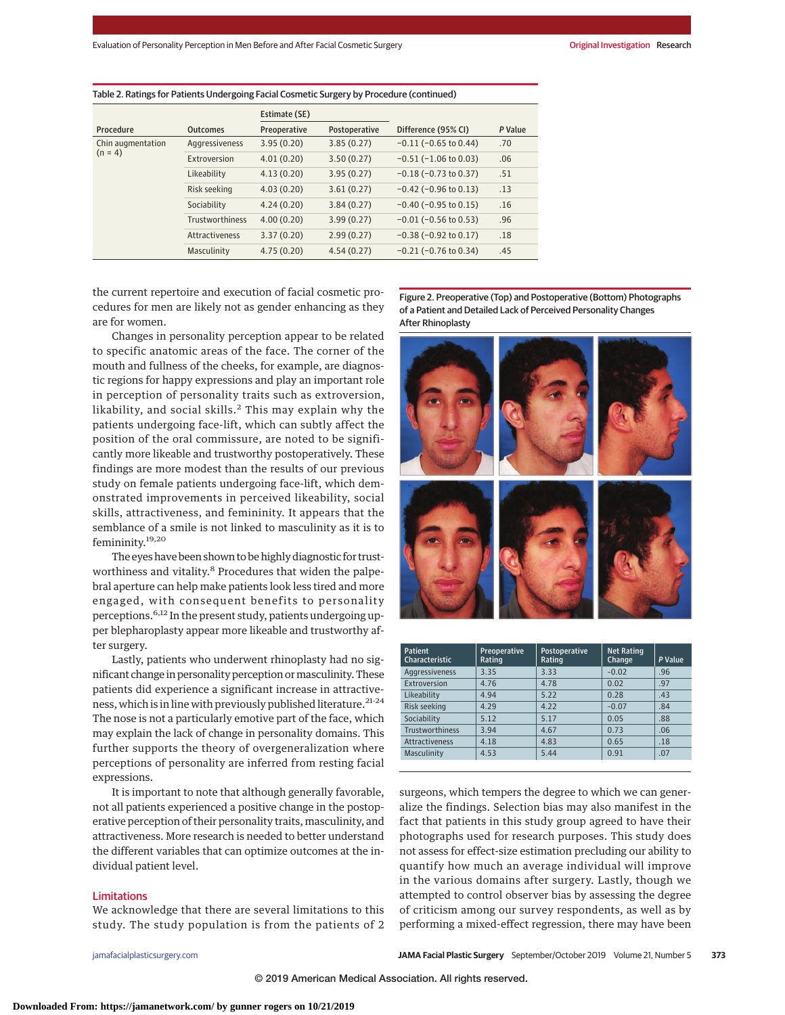|                                |                        | Estimate (SE) |               |                               |         |
|--------------------------------|------------------------|---------------|---------------|-------------------------------|---------|
| Procedure                      | <b>Outcomes</b>        | Preoperative  | Postoperative | Difference (95% CI)           | P Value |
| Chin augmentation<br>$(n = 4)$ | Aggressiveness         | 3.95(0.20)    | 3.85(0.27)    | $-0.11$ ( $-0.65$ to 0.44)    | .70     |
|                                | Extroversion           | 4.01(0.20)    | 3.50(0.27)    | $-0.51$ ( $-1.06$ to 0.03)    | .06     |
|                                | Likeability            | 4.13(0.20)    | 3.95(0.27)    | $-0.18$ ( $-0.73$ to 0.37)    | .51     |
|                                | Risk seeking           | 4.03(0.20)    | 3.61(0.27)    | $-0.42$ ( $-0.96$ to $0.13$ ) | .13     |
|                                | Sociability            | 4.24(0.20)    | 3.84(0.27)    | $-0.40$ ( $-0.95$ to $0.15$ ) | .16     |
|                                | <b>Trustworthiness</b> | 4.00(0.20)    | 3.99(0.27)    | $-0.01$ ( $-0.56$ to 0.53)    | .96     |
|                                | Attractiveness         | 3.37(0.20)    | 2.99(0.27)    | $-0.38$ ( $-0.92$ to $0.17$ ) | .18     |
|                                | Masculinity            | 4.75(0.20)    | 4.54(0.27)    | $-0.21$ ( $-0.76$ to 0.34)    | .45     |

#### Table 2. Ratings for Patients Undergoing Facial Cosmetic Surgery by Procedure (continued)

the current repertoire and execution of facial cosmetic procedures for men are likely not as gender enhancing as they are for women.

Changes in personality perception appear to be related to specific anatomic areas of the face. The corner of the mouth and fullness of the cheeks, for example, are diagnostic regions for happy expressions and play an important role in perception of personality traits such as extroversion, likability, and social skills.<sup>2</sup> This may explain why the patients undergoing face-lift, which can subtly affect the position of the oral commissure, are noted to be significantly more likeable and trustworthy postoperatively. These findings are more modest than the results of our previous study on female patients undergoing face-lift, which demonstrated improvements in perceived likeability, social skills, attractiveness, and femininity. It appears that the semblance of a smile is not linked to masculinity as it is to femininity.19,20

The eyes have been shown to be highly diagnostic for trustworthiness and vitality.<sup>8</sup> Procedures that widen the palpebral aperture can help make patients look less tired and more engaged, with consequent benefits to personality perceptions.6,12 In the present study, patients undergoing upper blepharoplasty appear more likeable and trustworthy after surgery.

Lastly, patients who underwent rhinoplasty had no significant change in personality perception or masculinity. These patients did experience a significant increase in attractiveness, which is in line with previously published literature.<sup>21-24</sup> The nose is not a particularly emotive part of the face, which may explain the lack of change in personality domains. This further supports the theory of overgeneralization where perceptions of personality are inferred from resting facial expressions.

It is important to note that although generally favorable, not all patients experienced a positive change in the postoperative perception of their personality traits, masculinity, and attractiveness. More research is needed to better understand the different variables that can optimize outcomes at the individual patient level.

### Limitations

We acknowledge that there are several limitations to this study. The study population is from the patients of 2

Figure 2. Preoperative (Top) and Postoperative (Bottom) Photographs of a Patient and Detailed Lack of Perceived Personality Changes After Rhinoplasty



| <b>Patient</b><br>Characteristic | Preoperative<br>Rating | Postoperative<br>Rating | <b>Net Rating</b><br>Change | P Value |
|----------------------------------|------------------------|-------------------------|-----------------------------|---------|
| Aggressiveness                   | 3.35                   | 3.33                    | $-0.02$                     | .96     |
| Extroversion                     | 4.76                   | 4.78                    | 0.02                        | .97     |
| Likeability                      | 4.94                   | 5.22                    | 0.28                        | .43     |
| Risk seeking                     | 4.29                   | 4.22                    | $-0.07$                     | .84     |
| Sociability                      | 5.12                   | 5.17                    | 0.05                        | .88     |
| <b>Trustworthiness</b>           | 3.94                   | 4.67                    | 0.73                        | .06     |
| <b>Attractiveness</b>            | 4.18                   | 4.83                    | 0.65                        | .18     |
| Masculinity                      | 4.53                   | 5.44                    | 0.91                        | .07     |

surgeons, which tempers the degree to which we can generalize the findings. Selection bias may also manifest in the fact that patients in this study group agreed to have their photographs used for research purposes. This study does not assess for effect-size estimation precluding our ability to quantify how much an average individual will improve in the various domains after surgery. Lastly, though we attempted to control observer bias by assessing the degree of criticism among our survey respondents, as well as by performing a mixed-effect regression, there may have been